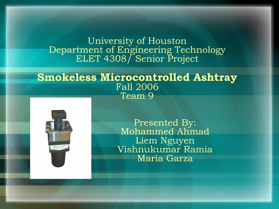#### University of Houston Department of Engineering Technology ELET 4308/ Senior Project

#### **Smokeless Microcontrolled Ashtray** Fall 2006 Team 9



Presented By: Mohammed Ahmad Liem Nguyen Vishnukumar Ramia Maria Garza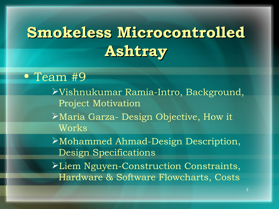## **Smokeless Microcontrolled Ashtray**

**•** Team #9

Vishnukumar Ramia-Intro, Background, Project Motivation

Maria Garza- Design Objective, How it Works

Mohammed Ahmad-Design Description, Design Specifications

Liem Nguyen-Construction Constraints, Hardware & Software Flowcharts, Costs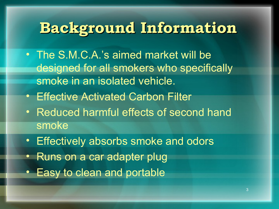## **Background Information**

- The S.M.C.A.'s aimed market will be designed for all smokers who specifically smoke in an isolated vehicle.
- Effective Activated Carbon Filter
- Reduced harmful effects of second hand smoke
- Effectively absorbs smoke and odors
- Runs on a car adapter plug
- Easy to clean and portable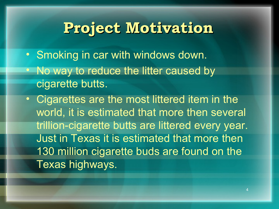### **Project Motivation**

- Smoking in car with windows down.
- No way to reduce the litter caused by cigarette butts.
- Cigarettes are the most littered item in the world, it is estimated that more then several trillion-cigarette butts are littered every year. Just in Texas it is estimated that more then 130 million cigarette buds are found on the Texas highways.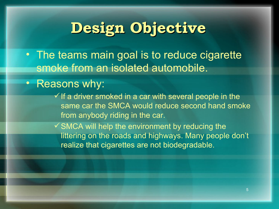## **Design Objective**

• The teams main goal is to reduce cigarette smoke from an isolated automobile.

### • Reasons why:

 $\checkmark$  If a driver smoked in a car with several people in the same car the SMCA would reduce second hand smoke from anybody riding in the car.

 $\checkmark$  SMCA will help the environment by reducing the littering on the roads and highways. Many people don't realize that cigarettes are not biodegradable.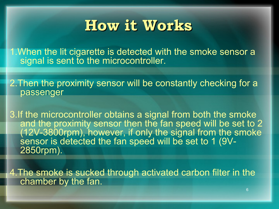### **How it Works**

1.When the lit cigarette is detected with the smoke sensor a signal is sent to the microcontroller.

2. Then the proximity sensor will be constantly checking for a passenger

3.If the microcontroller obtains a signal from both the smoke and the proximity sensor then the fan speed will be set to 2 (12V-3800rpm), however, if only the signal from the smoke sensor is detected the fan speed will be set to 1 (9V-2850rpm).

4.The smoke is sucked through activated carbon filter in the chamber by the fan.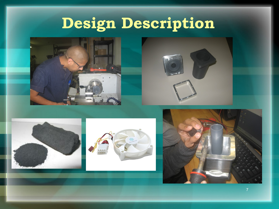# **Design Description**







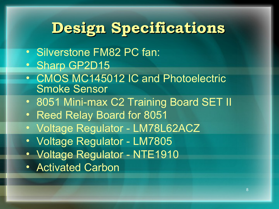## **Design Specifications**

- Silverstone FM82 PC fan:
- Sharp GP2D15
- CMOS MC145012 IC and Photoelectric Smoke Sensor
- 8051 Mini-max C2 Training Board SET II
- Reed Relay Board for 8051
- Voltage Regulator LM78L62ACZ
- Voltage Regulator LM7805
- Voltage Regulator NTE1910
- Activated Carbon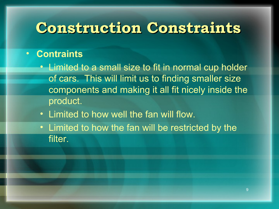### **Construction Constraints**

#### • **Contraints**

- Limited to a small size to fit in normal cup holder of cars. This will limit us to finding smaller size components and making it all fit nicely inside the product.
- Limited to how well the fan will flow.
- Limited to how the fan will be restricted by the filter.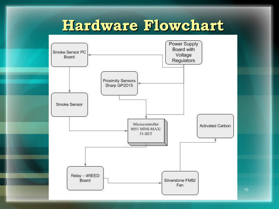## **Hardware Flowchart**



10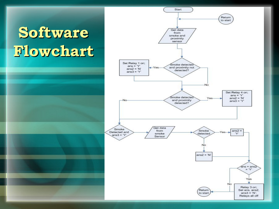# **Software Flowchart**

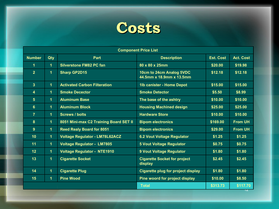

| <b>Component Price List</b> |                      |                                        |                                                      |                  |                  |
|-----------------------------|----------------------|----------------------------------------|------------------------------------------------------|------------------|------------------|
| <b>Number</b>               | Qty                  | <b>Part</b>                            | <b>Description</b>                                   | <b>Est. Cost</b> | <b>Act. Cost</b> |
| 1                           | 1                    | <b>Silverstone FM82 PC fan</b>         | 80 x 80 x 25mm                                       | \$20.00          | \$19.98          |
| $\overline{2}$              | $\mathbf 1$          | <b>Sharp GP2D15</b>                    | 10cm to 24cm Analog 5VDC<br>44.5mm x 18.9mm x 13.5mm | \$12.18          | \$12.18          |
| $\overline{3}$              | $\blacktriangleleft$ | <b>Activated Carbon Filteration</b>    | 1lb canister - Home Depot                            | \$15.00          | \$15.00          |
| 4                           | $\mathbf 1$          | <b>Smoke Decector</b>                  | <b>Smoke Detector</b>                                | \$5.50           | \$8.99           |
| $5\phantom{1}$              | $\mathbf 1$          | <b>Aluminum Base</b>                   | The base of the ashtry                               | \$10.00          | \$10.00          |
| 6                           | 1                    | <b>Aluminum Block</b>                  | <b>Housing Machined design</b>                       | \$25.00          | \$25.00          |
| $\overline{7}$              | 1                    | <b>Screws / bolts</b>                  | <b>Hardware Store</b>                                | \$10.00          | \$10.00          |
| 8                           | $\mathbf 1$          | 8051 Mini-max C2 Training Board SET II | <b>Bipom electronics</b>                             | \$169.00         | <b>From UH</b>   |
| 9                           | $\blacktriangleleft$ | <b>Reed Realy Board for 8051</b>       | <b>Bipom electronics</b>                             | \$29.00          | <b>From UH</b>   |
| 10                          | $\blacktriangleleft$ | <b>Voltage Regulator - LM78L62ACZ</b>  | 6.2 Vout Voltage Regulator                           | \$1.25           | \$1.25           |
| 11                          | $\blacktriangleleft$ | <b>Voltage Regulator - LM7805</b>      | <b>5 Vout Voltage Regulator</b>                      | \$0.75           | \$0.75           |
| 12                          | $\mathbf 1$          | <b>Voltage Regulator - NTE1910</b>     | 9 Vout Voltage Regulator                             | \$1.80           | \$1.80           |
| 13                          | $\mathbf 1$          | <b>Cigarette Socket</b>                | <b>Cigarette Socket for project</b><br>display       | \$2.45           | \$2.45           |
| 14                          | 1                    | <b>Cigarette Plug</b>                  | <b>Cigarette plug for project display</b>            | \$1.80           | \$1.80           |
| 15                          | $\mathbf 1$          | <b>Pine Wood</b>                       | Pine woord for project display                       | \$10.00          | \$8.50           |
|                             |                      |                                        | <b>Total</b>                                         | \$313.73         | \$117.70         |